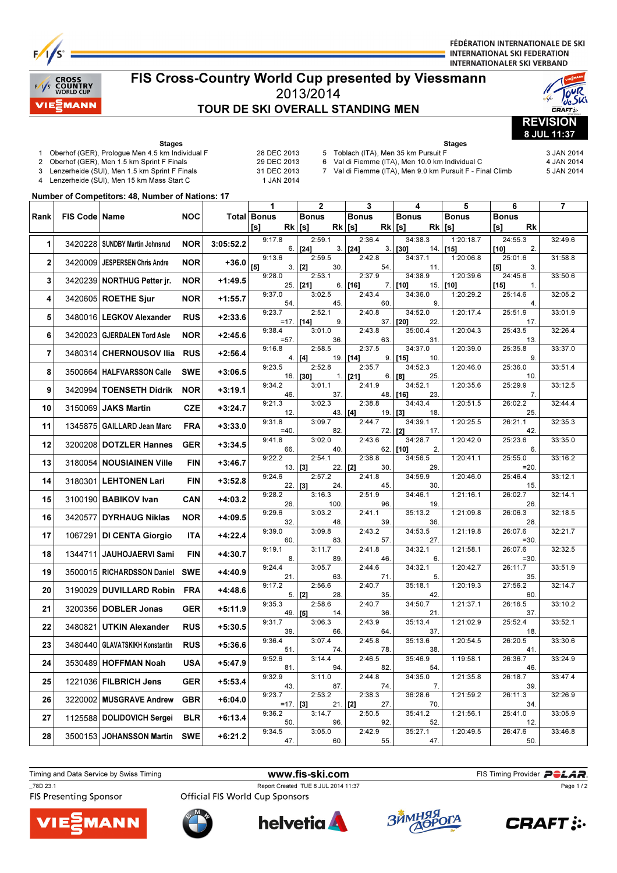

FÉDÉRATION INTERNATIONALE DE SKI **INTERNATIONAL SKI FEDERATION INTERNATIONALER SKI VERBAND** 

Stages 5 Toblach (ITA), Men 35 km Pursuit F 3 JAN 2014 6 Val di Fiemme (ITA), Men 10.0 km Individual C 4 JAN 2014 7 Val di Fiemme (ITA), Men 9.0 km Pursuit F - Final Climb 5 JAN 2014

# nuss<br>DUNTRY

## FIS Cross-Country World Cup presented by Viessmann 2013/2014 TOUR DE SKI OVERALL STANDING MEN





Stages 1 Oberhof (GER), Prologue Men 4.5 km Individual F 28 DEC 2013 2 Oberhof (GER), Men 1.5 km Sprint F Finals 29 DEC 2013

- 
- 
- 3 Lenzerheide (SUI), Men 1.5 km Sprint F Finals 31 DEC 2013 Lenzerheide (SUI), Men 15 km Mass Start C
- Number of Competitors: 48, Number of Nations: 17

|              |                 |                               |            |           | 1                      | 2                         | 3                         | 4                           | 5                   | 6                       | 7       |
|--------------|-----------------|-------------------------------|------------|-----------|------------------------|---------------------------|---------------------------|-----------------------------|---------------------|-------------------------|---------|
| Rank         | FIS Code   Name |                               | <b>NOC</b> |           | Total Bonus            | <b>Bonus</b>              | <b>Bonus</b>              | <b>Bonus</b>                | <b>Bonus</b>        | <b>Bonus</b>            |         |
|              |                 |                               |            |           | [s]<br>$Rk$ [s]        |                           | $Rk$ [s]                  | $Rk$ [s]<br>Rk              | [s]                 | Rk<br>[s]               |         |
| 1            | 3420228         | SUNDBY Martin Johnsrud        | <b>NOR</b> | 3:05:52.2 | 9:17.8<br>6.           | 2:59.1<br>3.<br>$[24]$    | 2:36.4<br>$[24]$<br>3.    | 34:38.3<br>[30]<br>14.      | 1:20:18.7<br>$[15]$ | 24:55.3<br>$[10]$<br>2. | 32:49.6 |
| $\mathbf{2}$ | 3420009         | <b>JESPERSEN Chris Andre</b>  | <b>NOR</b> | $+36.0$   | 9:13.6<br>$[5]$<br>3.  | 2:59.5<br>30.<br>$[2]$    | 2:42.8<br>54.             | 34:37.1<br>11.              | 1:20:06.8           | 25:01.6<br>3.<br>[5]    | 31:58.8 |
| 3            | 3420239         | <b>NORTHUG Petter jr.</b>     | <b>NOR</b> | $+1:49.5$ | 9:28.0<br>25.          | 2:53.1<br>$[21]$<br>6.    | 2:37.9<br>7.<br>[16]      | 34:38.9<br>15.<br>$[10]$    | 1:20:39.6<br>[10]   | 24:45.6<br>$[15]$<br>1. | 33:50.6 |
| 4            |                 | 3420605 ROETHE Sjur           | <b>NOR</b> | +1:55.7   | 9:37.0<br>54           | 3:02.5<br>45.             | 2:43.4<br>60.             | 34:36.0<br>9.               | 1:20:29.2           | 25:14.6<br>4.           | 32:05.2 |
| 5            |                 | 3480016   LEGKOV Alexander    | <b>RUS</b> | $+2:33.6$ | 9:23.7<br>$=17$ . [14] | 2:52.1<br>9.              | 2:40.8<br>37.             | 34:52.0<br>$[20]$<br>22     | 1:20:17.4           | 25:51.9<br>17.          | 33:01.9 |
| 6            |                 | 3420023 GJERDALEN Tord Asle   | <b>NOR</b> | $+2:45.6$ | 9:38.4<br>$= 57$       | 3:01.0<br>36.             | 2:43.8<br>63.             | 35:00.4<br>31.              | 1:20:04.3           | 25:43.5<br>13.          | 32:26.4 |
| 7            | 3480314         | <b>CHERNOUSOV Ilia</b>        | <b>RUS</b> | $+2:56.4$ | 9:16.8<br>4.           | 2:58.5<br>[4]<br>19.      | 2:37.5<br>[14]<br>9.      | 34:37.0<br>$[15]$<br>10.    | 1:20:39.0           | 25:35.8<br>9.           | 33:37.0 |
| 8            |                 | 3500664   HALFVARSSON Calle   | <b>SWE</b> | $+3:06.5$ | 9:23.5                 | 2:52.8<br>$16.$ [30]      | 2:35.7<br>$1.$ [21]<br>6. | 34:52.3<br>25.<br>[8]       | 1:20:46.0           | 25:36.0<br>10.          | 33:51.4 |
| 9            |                 | 3420994 TOENSETH Didrik       | <b>NOR</b> | +3:19.1   | 9:34.2<br>46.          | 3:01.1<br>37.             | 2:41.9<br>48.             | 34:52.1<br>[16]<br>23.      | 1:20:35.6           | 25:29.9<br>7.           | 33:12.5 |
| 10           | 3150069         | <b>JAKS Martin</b>            | CZE        | $+3:24.7$ | 9:21.3<br>12.          | 3:02.3<br>43.             | 2:38.8<br>[4]<br>19.      | 34:43.4<br>18.<br>  [3]     | 1:20:51.5           | 26:02.2<br>25           | 32:44.4 |
| 11           | 1345875         | GAILLARD Jean Marc            | <b>FRA</b> | $+3:33.0$ | 9:31.8<br>$=40$        | 3:09.7<br>82.             | 2:44.7<br>72.             | 34:39.1<br>[2]<br>17.       | 1:20:25.5           | 26:21.1<br>42.          | 32:35.3 |
| 12           | 3200208         | DOTZLER Hannes                | <b>GER</b> | $+3:34.5$ | 9:41.8<br>66.          | 3:02.0<br>40.             | 2:43.6                    | 34:28.7<br>$62.$ [10]<br>2. | 1:20:42.0           | 25:23.6<br>6.           | 33:35.0 |
| 13           | 3180054         | <b>NOUSIAINEN Ville</b>       | <b>FIN</b> | +3:46.7   | 9:22.2<br>$13.$ [3]    | 2:54.1<br>22.             | 2:38.8<br> 12 <br>30.     | 34:56.5<br>29.              | 1:20:41.1           | 25:55.0<br>$=20$        | 33:16.2 |
| 14           | 3180301         | <b>LEHTONEN Lari</b>          | <b>FIN</b> | $+3:52.8$ | 9:24.6<br>22   3]      | 2:57.2<br>24.             | 2:41.8<br>45.             | 34:59.9<br>30.              | 1:20:46.0           | 25:46.4<br>15.          | 33:12.1 |
| 15           |                 | 3100190   BABIKOV Ivan        | <b>CAN</b> | +4:03.2   | 9:28.2<br>26.          | 3:16.3<br>100.            | 2:51.9<br>96              | 34:46.1<br>19.              | 1:21:16.1           | 26:02.7<br>26.          | 32:14.1 |
| 16           | 3420577         | <b>DYRHAUG Niklas</b>         | <b>NOR</b> | +4:09.5   | 9:29.6<br>32.          | 3:03.2<br>48.             | 2:41.1<br>39.             | 35:13.2<br>36               | 1:21:09.8           | 26:06.3<br>28.          | 32:18.5 |
| 17           | 1067291         | <b>DI CENTA Giorgio</b>       | ITA        | +4:22.4   | 9:39.0<br>60           | 3:09.8<br>83.             | 2:43.2<br>57.             | 34:53.5<br>27.              | 1:21:19.8           | 26:07.6<br>$= 30.$      | 32:21.7 |
| 18           | 1344711         | <b>JAUHOJAERVI Sami</b>       | <b>FIN</b> | $+4:30.7$ | 9:19.1<br>8.           | 3:11.7<br>89.             | 2:41.8<br>46              | 34:32.1<br>6.               | 1:21:58.1           | 26:07.6<br>$= 30$       | 32:32.5 |
| 19           | 3500015         | RICHARDSSON Daniel            | <b>SWE</b> | +4:40.9   | 9:24.4<br>21.          | 3:05.7<br>63.             | 2:44.6<br>71.             | 34:32.1<br>5.               | 1:20:42.7           | 26:11.7<br>35.          | 33:51.9 |
| 20           | 3190029         | <b>DUVILLARD Robin</b>        | <b>FRA</b> | $+4:48.6$ | 9:17.2                 | 2:56.6<br>$5.$ [2]<br>28. | 2:40.7<br>35.             | 35:18.1<br>42.              | 1:20:19.3           | 27:56.2<br>60.          | 32:14.7 |
| 21           | 3200356         | DOBLER Jonas                  | GER        | +5:11.9   | 9:35.3<br>49.          | 2:58.6<br>[5]<br>14.      | 2:40.7<br>36.             | 34:50.7<br>21.              | 1:21:37.1           | 26:16.5<br>37.          | 33:10.2 |
| 22           | 3480821         | <b>UTKIN Alexander</b>        | <b>RUS</b> | $+5:30.5$ | 9:31.7<br>39.          | 3:06.3<br>66.             | 2:43.9<br>64              | 35:13.4<br>37.              | 1:21:02.9           | 25:52.4<br>18.          | 33:52.1 |
| 23           | 3480440         | <b>GLAVATSKIKH Konstantin</b> | <b>RUS</b> | +5:36.6   | 9:36.4<br>51.          | 3:07.4<br>74.             | 2:45.8<br>78.             | 35:13.6<br>38               | 1:20:54.5           | 26:20.5<br>41.          | 33:30.6 |
| 24           | 3530489         | HOFFMAN Noah                  | <b>USA</b> | $+5:47.9$ | 9:52.6<br>81.          | 3:14.4<br>94.             | 2:46.5<br>82.             | 35:46.9<br>54.              | 1:19:58.1           | 26:36.7<br>46           | 33:24.9 |
| 25           |                 | 1221036 FILBRICH Jens         | GER        | +5:53.4   | 9:32.9<br>43.          | 3:11.0<br>87.             | 2:44.8<br>74.             | 34:35.0<br>7.               | 1:21:35.8           | 26:18.7<br>39.          | 33:47.4 |
| 26           | 3220002         | <b>MUSGRAVE Andrew</b>        | <b>GBR</b> | $+6:04.0$ | 9:23.7<br>$=17.$ [3]   | 2:53.2<br>21.             | 2:38.3<br>[2]<br>27.      | 36:28.6<br>70               | 1:21:59.2           | 26:11.3<br>34.          | 32:26.9 |
| 27           |                 | 1125588 DOLIDOVICH Sergei     | BLR        | $+6:13.4$ | 9:36.2<br>50.          | 3:14.7<br>96.             | 2:50.5<br>92.             | 35:41.2<br>52.              | 1:21:56.1           | 25:41.0<br>12.          | 33:05.9 |
| 28           |                 | 3500153 JOHANSSON Martin      | <b>SWE</b> | $+6:21.2$ | 9:34.5<br>47.          | 3:05.0<br>60.             | 2:42.9<br>55.             | 35:27.1<br>47.              | 1:20:49.5           | 26:47.6<br>50.          | 33:46.8 |

Timing and Data Service by Swiss Timing **WWW.fis-Ski.com** FIS Timing Provider **PCLAR** 

**FIS Presenting Sponsor** 



Page 1 / 2

\_78D 23.1 Report Created TUE 8 JUL 2014 11:37 **Official FIS World Cup Sponsors**